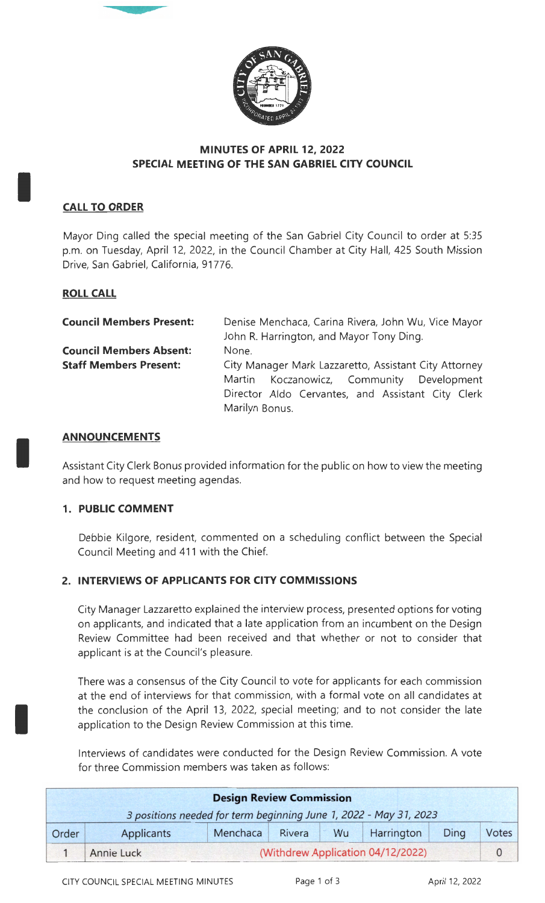

# **MINUTES OF APRIL 12, 2022 SPECIAL MEETING OF THE SAN GABRIEL CITY COUNCIL**

# **CALL TO ORDER**

I

I

I

Mayor Ding called the special meeting of the San Gabriel City Council to order at 5:35 p.m. on Tuesday, April 12, 2022, in the Council Chamber at City Hall, 425 South Mission Drive, San Gabriel, California, 91776.

### **ROLL CALL**

| <b>Council Members Present:</b> | Denise Menchaca, Carina Rivera, John Wu, Vice Mayor   |  |  |  |  |  |  |
|---------------------------------|-------------------------------------------------------|--|--|--|--|--|--|
|                                 | John R. Harrington, and Mayor Tony Ding.              |  |  |  |  |  |  |
| <b>Council Members Absent:</b>  | None.                                                 |  |  |  |  |  |  |
| <b>Staff Members Present:</b>   | City Manager Mark Lazzaretto, Assistant City Attorney |  |  |  |  |  |  |
|                                 | Martin Koczanowicz, Community Development             |  |  |  |  |  |  |
|                                 | Director Aldo Cervantes, and Assistant City Clerk     |  |  |  |  |  |  |
|                                 | Marilyn Bonus.                                        |  |  |  |  |  |  |

### **ANNOUNCEMENTS**

Assistant City Clerk Bonus provided information for the public on how to view the meeting and how to request meeting agendas.

#### **1. PUBLIC COMMENT**

Debbie Kilgore, resident, commented on a scheduling conflict between the Special Council Meeting and 411 with the Chief.

# **2. INTERVIEWS OF APPLICANTS FOR CITY COMMISSIONS**

City Manager Lazzaretto explained the interview process, presented options for voting on applicants, and indicated that a late application from an incumbent on the Design Review Committee had been received and that whether or not to consider that applicant is at the Council's pleasure.

There was a consensus of the City Council to vote for applicants for each commission at the end of interviews for that commission, with a formal vote on all candidates at the conclusion of the April 13, 2022, special meeting; and to not consider the late application to the Design Review Commission at this time.

Interviews of candidates were conducted for the Design Review Commission. A vote for three Commission members was taken as follows:

| <b>Design Review Commission</b> |                                                                   |          |        |           |            |          |       |  |
|---------------------------------|-------------------------------------------------------------------|----------|--------|-----------|------------|----------|-------|--|
|                                 | 3 positions needed for term beginning June 1, 2022 - May 31, 2023 |          |        |           |            |          |       |  |
| Order                           | Applicants                                                        | Menchaca | Rivera | <b>Wu</b> | Harrington | Ding     | Votes |  |
|                                 | (Withdrew Application 04/12/2022)<br>Annie Luck                   |          |        |           |            | $\Omega$ |       |  |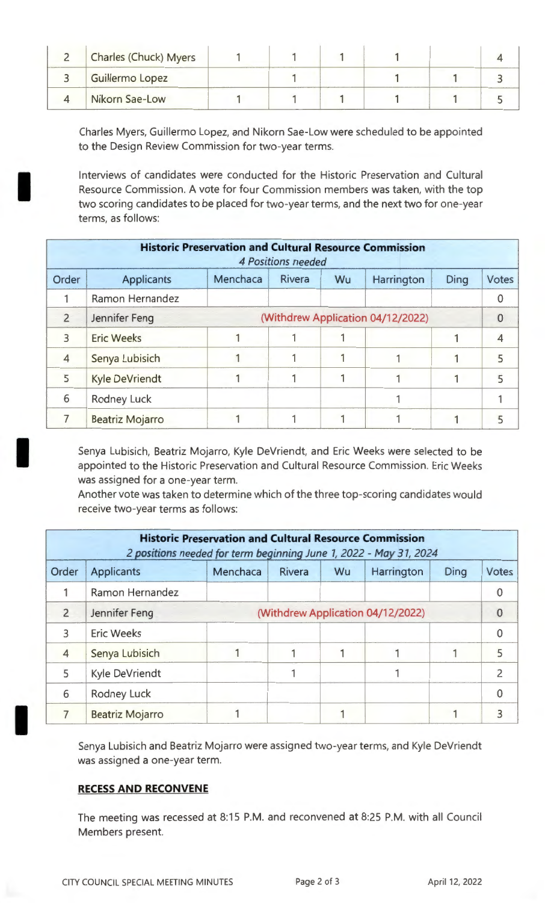| <b>Charles (Chuck) Myers</b> |  |  |  |
|------------------------------|--|--|--|
| Guillermo Lopez              |  |  |  |
| Nikorn Sae-Low               |  |  |  |

Charles Myers, Guillermo Lopez, and Nikorn Sae-Low were scheduled to be appointed to the Design Review Commission for two-year terms.

Interviews of candidates were conducted for the Historic Preservation and Cultural Resource Commission. A vote for four Commission members was taken, with the top two scoring candidates to be placed for two-year terms, and the next two for one-year terms, as follows:

| <b>Historic Preservation and Cultural Resource Commission</b><br><b>4 Positions needed</b> |                                                    |          |        |    |            |      |             |  |
|--------------------------------------------------------------------------------------------|----------------------------------------------------|----------|--------|----|------------|------|-------------|--|
| Order                                                                                      | <b>Applicants</b>                                  | Menchaca | Rivera | Wu | Harrington | Ding | Votes       |  |
|                                                                                            | Ramon Hernandez                                    |          |        |    |            |      | $\mathbf 0$ |  |
| $\overline{2}$                                                                             | (Withdrew Application 04/12/2022)<br>Jennifer Feng |          |        |    |            |      |             |  |
| 3                                                                                          | <b>Eric Weeks</b>                                  |          |        |    |            |      | 4           |  |
| $\overline{4}$                                                                             | Senya Lubisich                                     |          |        |    |            |      | 5           |  |
| 5                                                                                          | <b>Kyle DeVriendt</b>                              |          |        |    |            |      | 5           |  |
| 6                                                                                          | <b>Rodney Luck</b>                                 |          |        |    |            |      |             |  |
|                                                                                            | <b>Beatriz Mojarro</b>                             |          |        |    |            |      | 5           |  |

Senya Lubisich, Beatriz Mojarro, Kyle DeVriendt, and Eric Weeks were selected to be appointed to the Historic Preservation and Cultural Resource Commission. Eric Weeks was assigned for a one-year term.

Another vote was taken to determine which of the three top-scoring candidates would receive two-year terms as follows:

| <b>Historic Preservation and Cultural Resource Commission</b><br>2 positions needed for term beginning June 1, 2022 - May 31, 2024 |                                                    |          |        |    |            |      |                |  |
|------------------------------------------------------------------------------------------------------------------------------------|----------------------------------------------------|----------|--------|----|------------|------|----------------|--|
| Order                                                                                                                              | <b>Applicants</b>                                  | Menchaca | Rivera | Wu | Harrington | Ding | Votes          |  |
|                                                                                                                                    | Ramon Hernandez                                    |          |        |    |            |      | 0              |  |
| $\overline{2}$                                                                                                                     | (Withdrew Application 04/12/2022)<br>Jennifer Feng |          |        |    |            |      | 0              |  |
| 3                                                                                                                                  | <b>Eric Weeks</b>                                  |          |        |    |            |      | $\mathbf{0}$   |  |
| $\overline{4}$                                                                                                                     | Senya Lubisich                                     |          |        |    |            |      | 5              |  |
| 5                                                                                                                                  | Kyle DeVriendt                                     |          |        |    |            |      | $\overline{2}$ |  |
| 6                                                                                                                                  | <b>Rodney Luck</b>                                 |          |        |    |            |      | 0              |  |
|                                                                                                                                    | <b>Beatriz Mojarro</b>                             |          |        |    |            |      | 3              |  |

Senya Lubisich and Beatriz Mojarro were assigned two-year terms, and Kyle DeVriendt was assigned a one-year term.

# **RECESS AND RECONVENE**

I

I

I

The meeting was recessed at 8:15 P.M. and reconvened at 8:25 P.M. with all Council Members present.